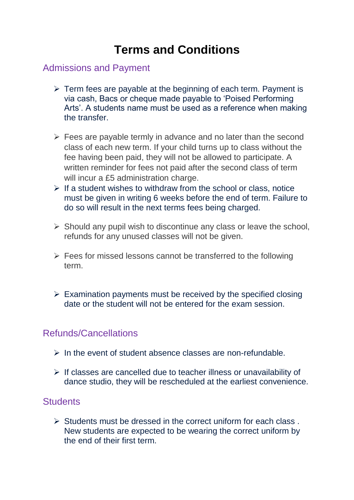# **Terms and Conditions**

## Admissions and Payment

- ➢ Term fees are payable at the beginning of each term. Payment is via cash, Bacs or cheque made payable to 'Poised Performing Arts'. A students name must be used as a reference when making the transfer.
- $\triangleright$  Fees are payable termly in advance and no later than the second class of each new term. If your child turns up to class without the fee having been paid, they will not be allowed to participate. A written reminder for fees not paid after the second class of term will incur a £5 administration charge.
- $\triangleright$  If a student wishes to withdraw from the school or class, notice must be given in writing 6 weeks before the end of term. Failure to do so will result in the next terms fees being charged.
- $\triangleright$  Should any pupil wish to discontinue any class or leave the school, refunds for any unused classes will not be given.
- ➢ Fees for missed lessons cannot be transferred to the following term.
- $\triangleright$  Examination payments must be received by the specified closing date or the student will not be entered for the exam session.

#### Refunds/Cancellations

- $\triangleright$  In the event of student absence classes are non-refundable.
- $\triangleright$  If classes are cancelled due to teacher illness or unavailability of dance studio, they will be rescheduled at the earliest convenience.

# **Students**

➢ Students must be dressed in the correct uniform for each class . New students are expected to be wearing the correct uniform by the end of their first term.